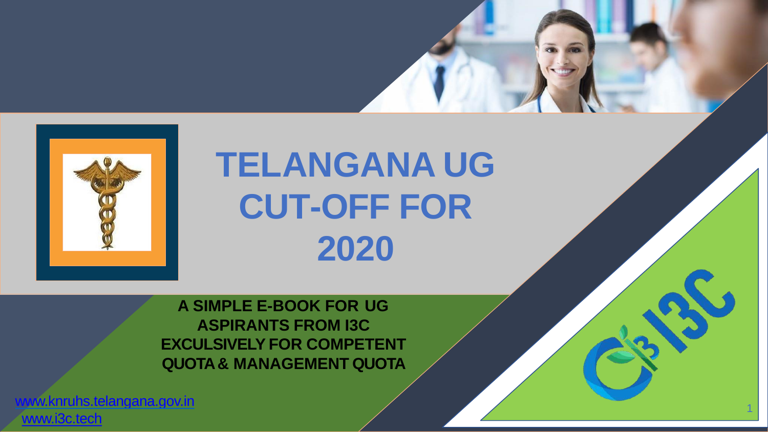

# **TELANGANA UG CUT-OFF FOR 2020**

1

**A SIMPLE E-BOOK FOR UG ASPIRANTS FROM I3C EXCULSIVELY FOR COMPETENT QUOTA & MANAGEMENT QUOTA**

[www.knruhs.telangana.gov.in](http://www.knruhs.telangana.gov.in/) [www.i3c.tech](http://www.i3c.tech/)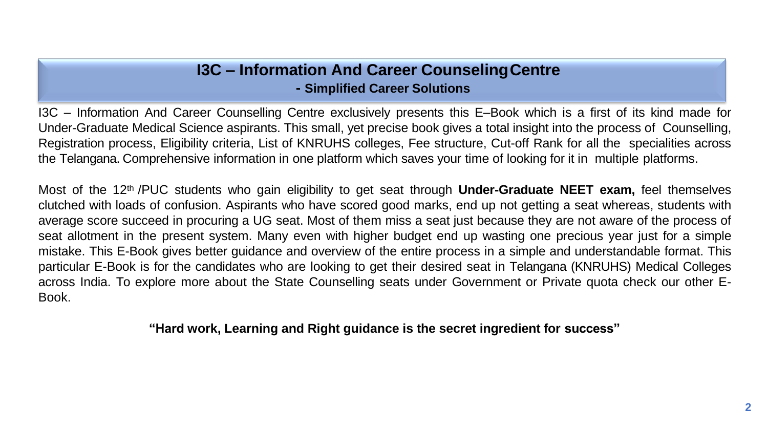#### **I3C – Information And Career CounselingCentre - Simplified Career Solutions**

I3C – Information And Career Counselling Centre exclusively presents this E–Book which is a first of its kind made for Under-Graduate Medical Science aspirants. This small, yet precise book gives a total insight into the process of Counselling, Registration process, Eligibility criteria, List of KNRUHS colleges, Fee structure, Cut-off Rank for all the specialities across the Telangana. Comprehensive information in one platform which saves your time of looking for it in multiple platforms.

Most of the 12th /PUC students who gain eligibility to get seat through **Under-Graduate NEET exam,** feel themselves clutched with loads of confusion. Aspirants who have scored good marks, end up not getting a seat whereas, students with average score succeed in procuring a UG seat. Most of them miss a seat just because they are not aware of the process of seat allotment in the present system. Many even with higher budget end up wasting one precious year just for a simple mistake. This E-Book gives better guidance and overview of the entire process in a simple and understandable format. This particular E-Book is for the candidates who are looking to get their desired seat in Telangana (KNRUHS) Medical Colleges across India. To explore more about the State Counselling seats under Government or Private quota check our other E-Book.

**"Hard work, Learning and Right guidance is the secret ingredient for success"**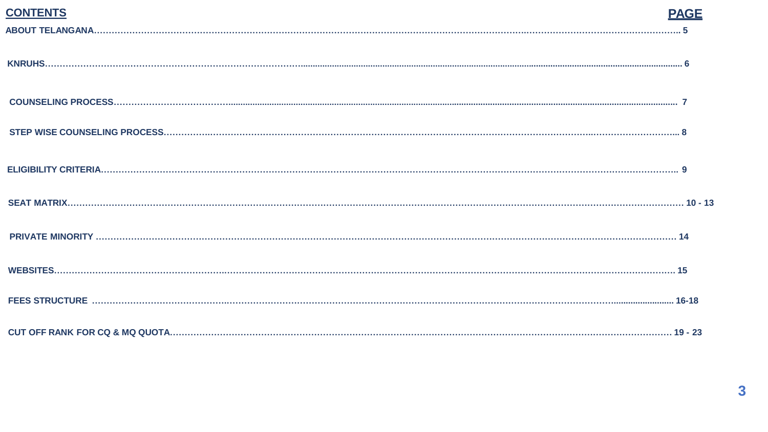| <b>CONTENTS</b> |  |
|-----------------|--|
|                 |  |
|                 |  |
|                 |  |
|                 |  |
|                 |  |
|                 |  |
|                 |  |
|                 |  |
|                 |  |
|                 |  |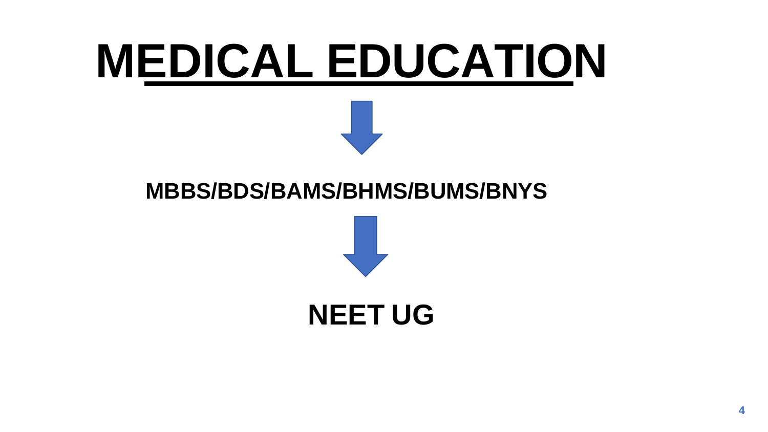# **MEDICAL EDUCATION**

## **MBBS/BDS/BAMS/BHMS/BUMS/BNYS**



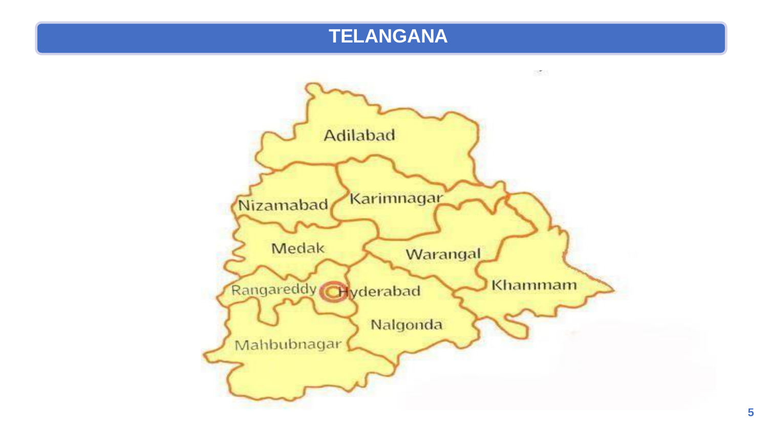#### **TELANGANA**

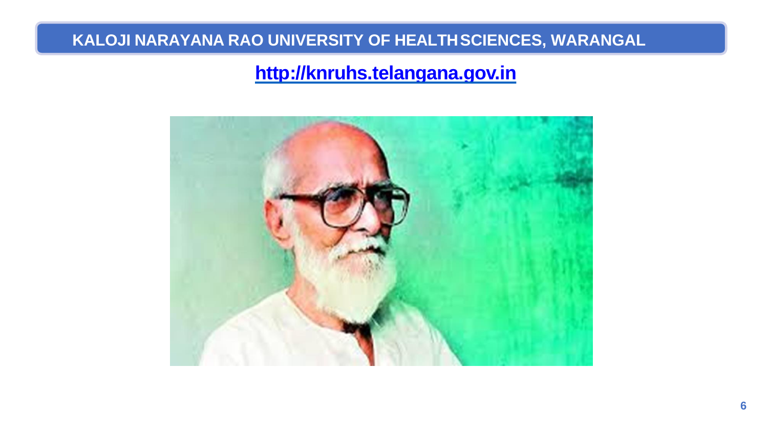#### **KALOJI NARAYANA RAO UNIVERSITY OF HEALTHSCIENCES, WARANGAL**

#### **[http://knruhs.telangana.gov.in](http://knruhs.telangana.gov.in/)**

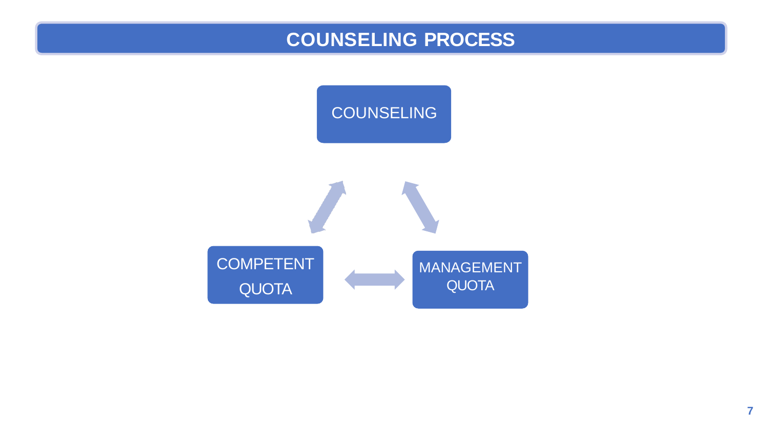#### **COUNSELING PROCESS**

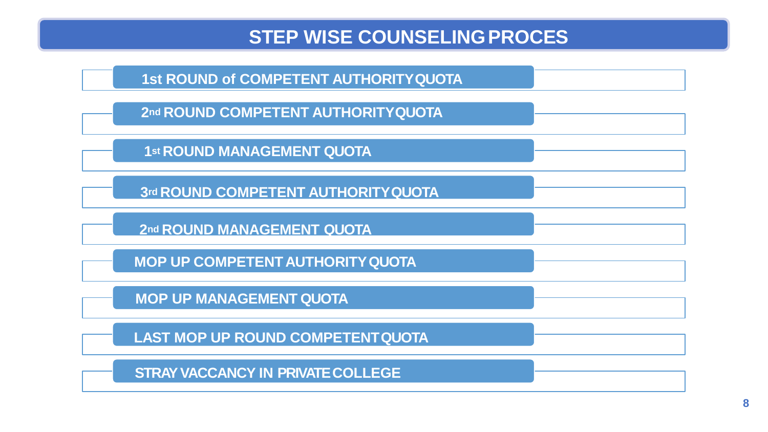#### **STEP WISE COUNSELINGPROCES**



**2nd ROUND COMPETENT AUTHORITYQUOTA**

**1st ROUND MANAGEMENT QUOTA**

**3rd ROUND COMPETENT AUTHORITYQUOTA**

**2nd ROUND MANAGEMENT QUOTA**

**MOP UP COMPETENTAUTHORITYQUOTA** 

**MOP UP MANAGEMENT QUOTA**

**LAST MOP UP ROUND COMPETENTQUOTA** 

**STRAY VACCANCY IN PRIVATECOLLEGE**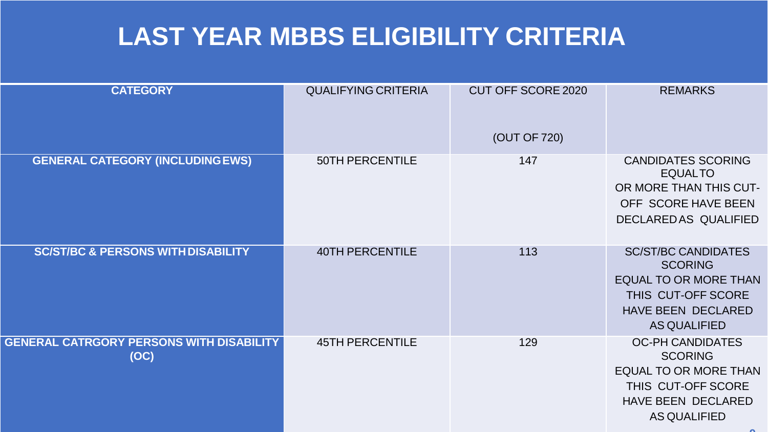# **LAST YEAR MBBS ELIGIBILITY CRITERIA**

| <b>CATEGORY</b>                                         | <b>QUALIFYING CRITERIA</b> | <b>CUT OFF SCORE 2020</b><br>(OUT OF 720) | <b>REMARKS</b>                                                                                                                                         |
|---------------------------------------------------------|----------------------------|-------------------------------------------|--------------------------------------------------------------------------------------------------------------------------------------------------------|
| <b>GENERAL CATEGORY (INCLUDING EWS)</b>                 | <b>50TH PERCENTILE</b>     | 147                                       | <b>CANDIDATES SCORING</b><br><b>EQUALTO</b><br>OR MORE THAN THIS CUT-<br>OFF SCORE HAVE BEEN<br>DECLARED AS QUALIFIED                                  |
| <b>SC/ST/BC &amp; PERSONS WITH DISABILITY</b>           | <b>40TH PERCENTILE</b>     | 113                                       | <b>SC/ST/BC CANDIDATES</b><br><b>SCORING</b><br><b>EQUAL TO OR MORE THAN</b><br>THIS CUT-OFF SCORE<br><b>HAVE BEEN DECLARED</b><br><b>AS QUALIFIED</b> |
| <b>GENERAL CATRGORY PERSONS WITH DISABILITY</b><br>(OC) | <b>45TH PERCENTILE</b>     | 129                                       | <b>OC-PH CANDIDATES</b><br><b>SCORING</b><br><b>EQUAL TO OR MORE THAN</b><br>THIS CUT-OFF SCORE<br>HAVE BEEN DECLARED<br><b>AS QUALIFIED</b>           |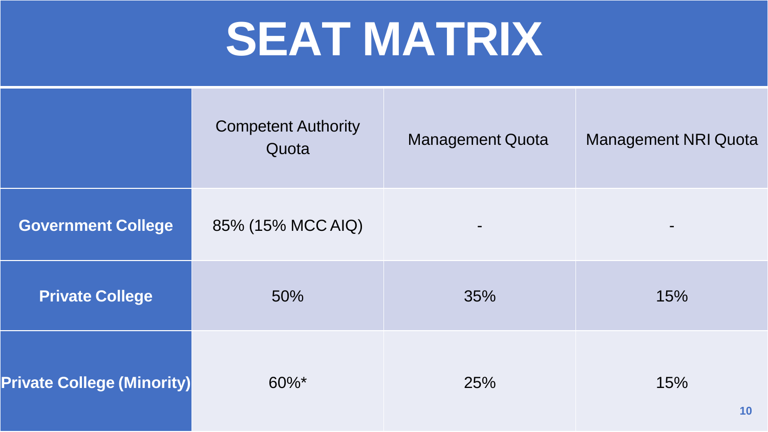# **SEAT MATRIX**

|                                   | <b>Competent Authority</b><br>Quota | <b>Management Quota</b> | <b>Management NRI Quota</b> |
|-----------------------------------|-------------------------------------|-------------------------|-----------------------------|
| <b>Government College</b>         | 85% (15% MCC AIQ)                   |                         |                             |
| <b>Private College</b>            | 50%                                 | 35%                     | 15%                         |
| <b>Private College (Minority)</b> | $60\%$ *                            | 25%                     | 15%<br>10 <sup>°</sup>      |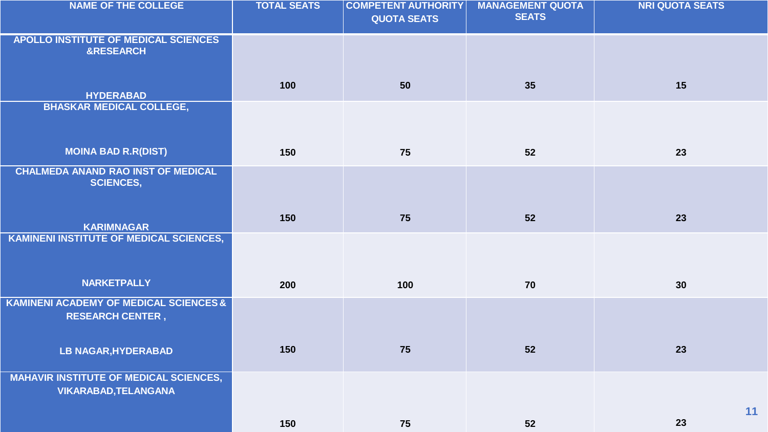| <b>NAME OF THE COLLEGE</b>                                                   | <b>TOTAL SEATS</b> | <b>COMPETENT AUTHORITY</b><br><b>QUOTA SEATS</b> | <b>MANAGEMENT QUOTA</b><br><b>SEATS</b> | <b>NRI QUOTA SEATS</b> |
|------------------------------------------------------------------------------|--------------------|--------------------------------------------------|-----------------------------------------|------------------------|
| APOLLO INSTITUTE OF MEDICAL SCIENCES<br><b>&amp;RESEARCH</b>                 |                    |                                                  |                                         |                        |
| <b>HYDERABAD</b>                                                             | 100                | 50                                               | 35                                      | 15                     |
| <b>BHASKAR MEDICAL COLLEGE,</b>                                              |                    |                                                  |                                         |                        |
| <b>MOINA BAD R.R(DIST)</b>                                                   | 150                | 75                                               | 52                                      | 23                     |
| <b>CHALMEDA ANAND RAO INST OF MEDICAL</b><br><b>SCIENCES,</b>                |                    |                                                  |                                         |                        |
| <b>KARIMNAGAR</b>                                                            | 150                | 75                                               | 52                                      | 23                     |
| <b>KAMINENI INSTITUTE OF MEDICAL SCIENCES,</b>                               |                    |                                                  |                                         |                        |
| <b>NARKETPALLY</b>                                                           | 200                | 100                                              | 70                                      | 30                     |
| KAMINENI ACADEMY OF MEDICAL SCIENCES &<br><b>RESEARCH CENTER,</b>            |                    |                                                  |                                         |                        |
| <b>LB NAGAR, HYDERABAD</b>                                                   | 150                | 75                                               | 52                                      | 23                     |
| <b>MAHAVIR INSTITUTE OF MEDICAL SCIENCES,</b><br><b>VIKARABAD, TELANGANA</b> |                    |                                                  |                                         |                        |
|                                                                              | 150                | 75                                               | 52                                      | 11<br>23               |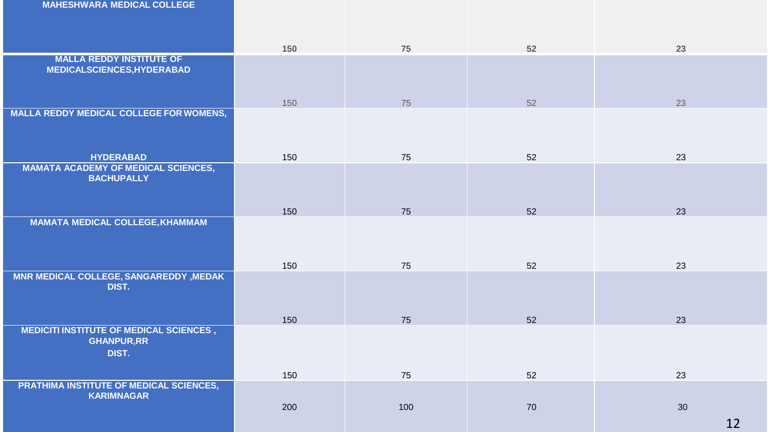**MAHESHWARA MEDICAL COLLEGE**

|                                                                               | 150 | 75  | 52 | 23       |
|-------------------------------------------------------------------------------|-----|-----|----|----------|
| <b>MALLA REDDY INSTITUTE OF</b><br><b>MEDICALSCIENCES, HYDERABAD</b>          |     |     |    |          |
|                                                                               | 150 | 75  | 52 | 23       |
| <b>MALLA REDDY MEDICAL COLLEGE FOR WOMENS,</b>                                |     |     |    |          |
| <b>HYDERABAD</b>                                                              | 150 | 75  | 52 | 23       |
| <b>MAMATA ACADEMY OF MEDICAL SCIENCES,</b><br><b>BACHUPALLY</b>               |     |     |    |          |
|                                                                               | 150 | 75  | 52 | 23       |
| <b>MAMATA MEDICAL COLLEGE, KHAMMAM</b>                                        | 150 | 75  | 52 | 23       |
| <b>MNR MEDICAL COLLEGE, SANGAREDDY, MEDAK</b><br>DIST.                        | 150 | 75  | 52 | 23       |
| <b>MEDICITI INSTITUTE OF MEDICAL SCIENCES,</b><br><b>GHANPUR, RR</b><br>DIST. | 150 |     | 52 | 23       |
| PRATHIMA INSTITUTE OF MEDICAL SCIENCES,                                       |     | 75  |    |          |
| <b>KARIMNAGAR</b>                                                             | 200 | 100 | 70 | 30<br>12 |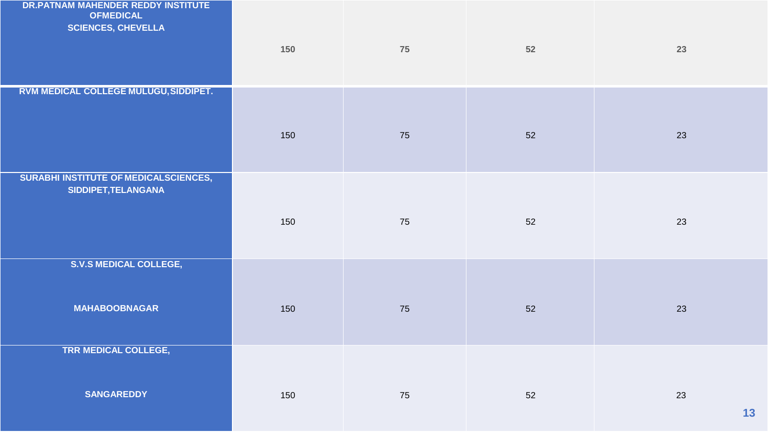| DR.PATNAM MAHENDER REDDY INSTITUTE<br><b>OFMEDICAL</b><br><b>SCIENCES, CHEVELLA</b> | 150 | 75 | 52 | 23                |
|-------------------------------------------------------------------------------------|-----|----|----|-------------------|
| RVM MEDICAL COLLEGE MULUGU, SIDDIPET.                                               | 150 | 75 | 52 | 23                |
| SURABHI INSTITUTE OF MEDICALSCIENCES,<br>SIDDIPET, TELANGANA                        | 150 | 75 | 52 | 23                |
| <b>S.V.S MEDICAL COLLEGE,</b><br><b>MAHABOOBNAGAR</b>                               | 150 | 75 | 52 | 23                |
| <b>TRR MEDICAL COLLEGE,</b><br><b>SANGAREDDY</b>                                    | 150 | 75 | 52 | 23<br>$\mathbf 1$ |

**13**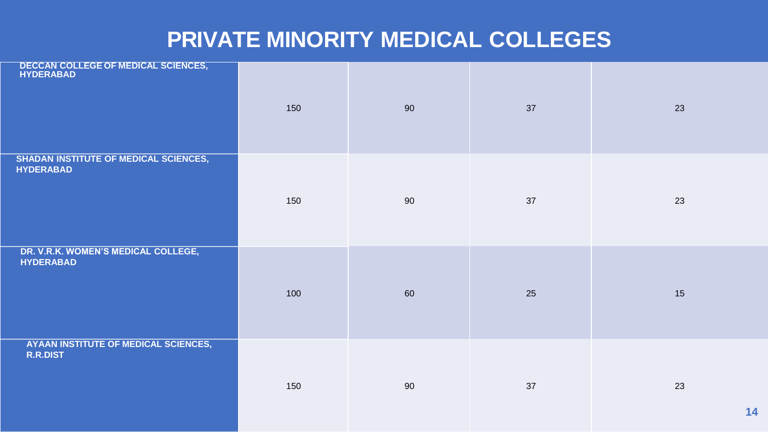### **PRIVATE MINORITY MEDICAL COLLEGES**

| DECCAN COLLEGE OF MEDICAL SCIENCES,                              | 150 | 90 | 37 | 23 |
|------------------------------------------------------------------|-----|----|----|----|
| <b>SHADAN INSTITUTE OF MEDICAL SCIENCES,</b><br><b>HYDERABAD</b> | 150 | 90 | 37 | 23 |
| DR. V.R.K. WOMEN'S MEDICAL COLLEGE,<br><b>HYDERABAD</b>          | 100 | 60 | 25 | 15 |
| <b>AYAAN INSTITUTE OF MEDICAL SCIENCES,</b><br><b>R.R.DIST</b>   | 150 | 90 | 37 | 23 |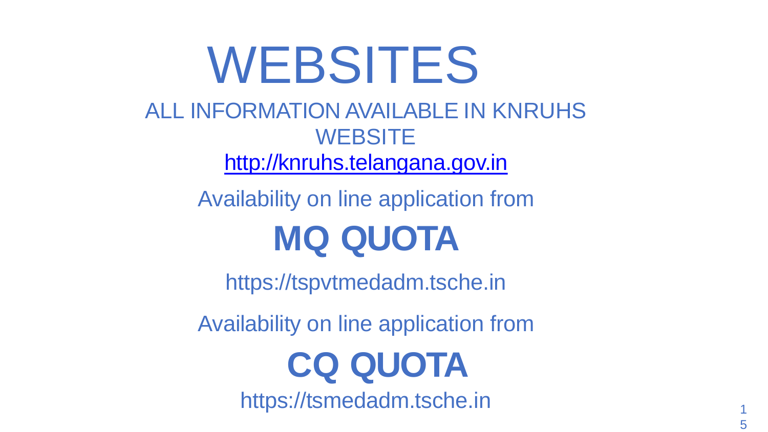WEBSITES ALL INFORMATION AVAILABLE IN KNRUHS **WEBSITE** [http://knruhs.telangana.gov.in](http://knruhs.telangana.gov.in/)

> Availability on line application from **MQ QUOTA**

https://tspvtmedadm.tsche.in

Availability on line application from  **CQ QUOTA**

https://tsmedadm.tsche.in <sup>1</sup>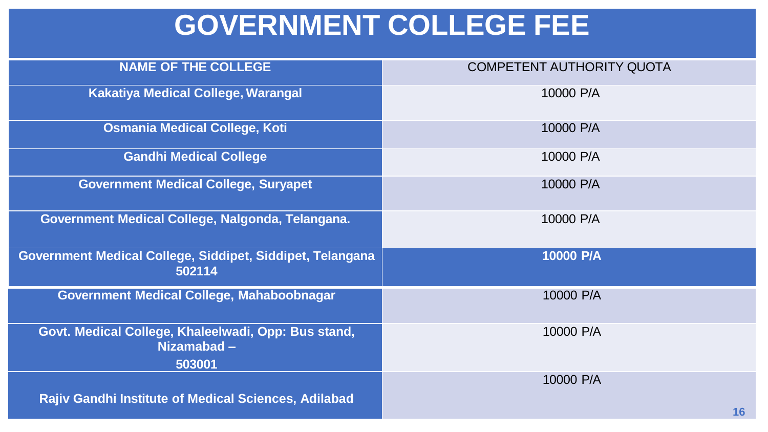# **GOVERNMENT COLLEGE FEE**

| <b>NAME OF THE COLLEGE</b>                                                  | <b>COMPETENT AUTHORITY QUOTA</b> |
|-----------------------------------------------------------------------------|----------------------------------|
|                                                                             |                                  |
| <b>Kakatiya Medical College, Warangal</b>                                   | 10000 P/A                        |
| <b>Osmania Medical College, Koti</b>                                        | 10000 P/A                        |
| <b>Gandhi Medical College</b>                                               | 10000 P/A                        |
| <b>Government Medical College, Suryapet</b>                                 | 10000 P/A                        |
| Government Medical College, Nalgonda, Telangana.                            | 10000 P/A                        |
| Government Medical College, Siddipet, Siddipet, Telangana<br>502114         | 10000 P/A                        |
| Government Medical College, Mahaboobnagar                                   | 10000 P/A                        |
| Govt. Medical College, Khaleelwadi, Opp: Bus stand,<br>Nizamabad-<br>503001 | 10000 P/A                        |
| <b>Rajiv Gandhi Institute of Medical Sciences, Adilabad</b>                 | 10000 P/A<br>16                  |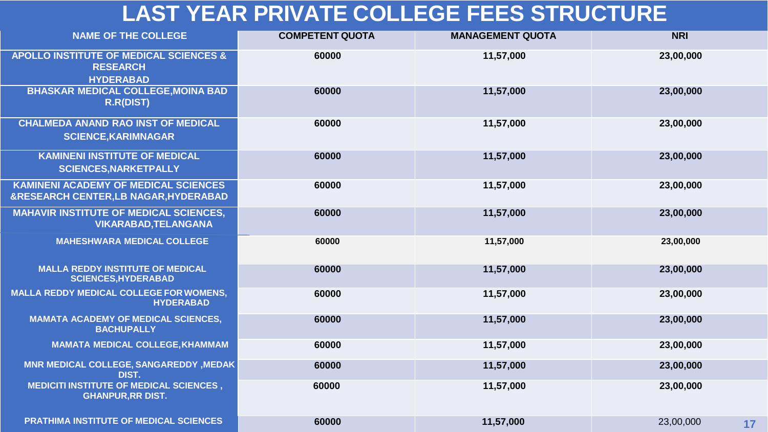## **LAST YEAR PRIVATE COLLEGE FEES STRUCTURE**

| <b>NAME OF THE COLLEGE</b>                                                                     | <b>COMPETENT QUOTA</b> | <b>MANAGEMENT QUOTA</b> | <b>NRI</b>      |
|------------------------------------------------------------------------------------------------|------------------------|-------------------------|-----------------|
| <b>APOLLO INSTITUTE OF MEDICAL SCIENCES &amp;</b><br><b>RESEARCH</b><br><b>HYDERABAD</b>       | 60000                  | 11,57,000               | 23,00,000       |
| <b>BHASKAR MEDICAL COLLEGE, MOINA BAD</b><br><b>R.R(DIST)</b>                                  | 60000                  | 11,57,000               | 23,00,000       |
| <b>CHALMEDA ANAND RAO INST OF MEDICAL</b><br><b>SCIENCE, KARIMNAGAR</b>                        | 60000                  | 11,57,000               | 23,00,000       |
| <b>KAMINENI INSTITUTE OF MEDICAL</b><br><b>SCIENCES, NARKETPALLY</b>                           | 60000                  | 11,57,000               | 23,00,000       |
| <b>KAMINENI ACADEMY OF MEDICAL SCIENCES</b><br><b>&amp;RESEARCH CENTER,LB NAGAR, HYDERABAD</b> | 60000                  | 11,57,000               | 23,00,000       |
| <b>MAHAVIR INSTITUTE OF MEDICAL SCIENCES,</b><br><b>VIKARABAD, TELANGANA</b>                   | 60000                  | 11,57,000               | 23,00,000       |
| <b>MAHESHWARA MEDICAL COLLEGE</b>                                                              | 60000                  | 11,57,000               | 23,00,000       |
| <b>MALLA REDDY INSTITUTE OF MEDICAL</b><br><b>SCIENCES, HYDERABAD</b>                          | 60000                  | 11,57,000               | 23,00,000       |
| <b>MALLA REDDY MEDICAL COLLEGE FOR WOMENS,</b><br><b>HYDERABAD</b>                             | 60000                  | 11,57,000               | 23,00,000       |
| <b>MAMATA ACADEMY OF MEDICAL SCIENCES,</b><br><b>BACHUPALLY</b>                                | 60000                  | 11,57,000               | 23,00,000       |
| <b>MAMATA MEDICAL COLLEGE, KHAMMAM</b>                                                         | 60000                  | 11,57,000               | 23,00,000       |
| MNR MEDICAL COLLEGE, SANGAREDDY, MEDAK<br>DIST.                                                | 60000                  | 11,57,000               | 23,00,000       |
| <b>MEDICITI INSTITUTE OF MEDICAL SCIENCES,</b><br><b>GHANPUR, RR DIST.</b>                     | 60000                  | 11,57,000               | 23,00,000       |
| PRATHIMA INSTITUTE OF MEDICAL SCIENCES                                                         | 60000                  | 11,57,000               | 23,00,000<br>17 |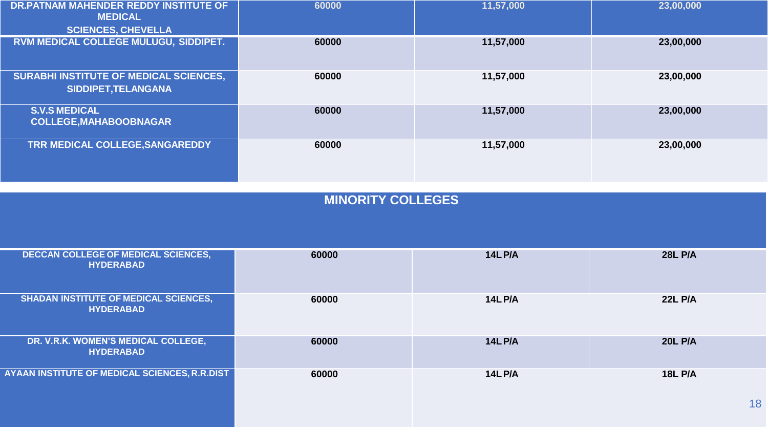| DR.PATNAM MAHENDER REDDY INSTITUTE OF<br><b>MEDICAL</b><br><b>SCIENCES, CHEVELLA</b> | 60000 | 11,57,000 | 23,00,000 |
|--------------------------------------------------------------------------------------|-------|-----------|-----------|
| RVM MEDICAL COLLEGE MULUGU, SIDDIPET.                                                | 60000 | 11,57,000 | 23,00,000 |
| <b>SURABHI INSTITUTE OF MEDICAL SCIENCES,</b><br>SIDDIPET, TELANGANA                 | 60000 | 11,57,000 | 23,00,000 |
| <b>S.V.S MEDICAL</b><br><b>COLLEGE, MAHABOOBNAGAR</b>                                | 60000 | 11,57,000 | 23,00,000 |
| TRR MEDICAL COLLEGE, SANGAREDDY                                                      | 60000 | 11,57,000 | 23,00,000 |

| <b>DECCAN COLLEGE OF MEDICAL SCIENCES,</b><br><b>HYDERABAD</b>   | 60000 | <b>14L P/A</b> | <b>28L P/A</b> |
|------------------------------------------------------------------|-------|----------------|----------------|
| <b>SHADAN INSTITUTE OF MEDICAL SCIENCES,</b><br><b>HYDERABAD</b> | 60000 | <b>14L P/A</b> | <b>22L P/A</b> |
| DR. V.R.K. WOMEN'S MEDICAL COLLEGE,<br><b>HYDERABAD</b>          | 60000 | <b>14L P/A</b> | <b>20L P/A</b> |
| AYAAN INSTITUTE OF MEDICAL SCIENCES, R.R.DIST                    | 60000 | <b>14L P/A</b> | <b>18L P/A</b> |
|                                                                  |       |                | 18             |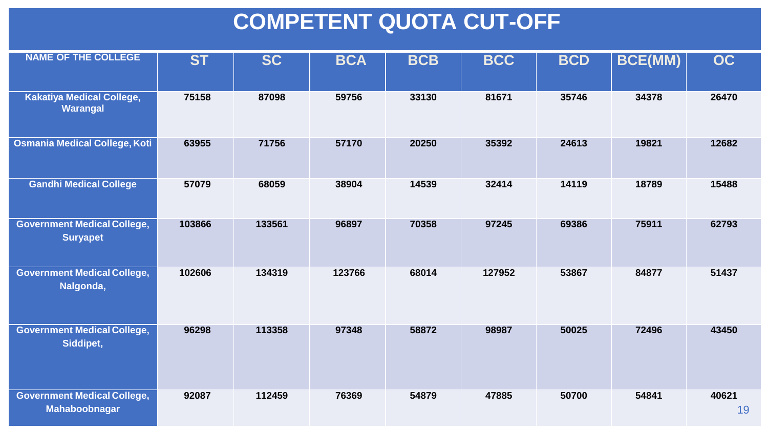## **COMPETENT QUOTA CUT-OFF**

| <b>NAME OF THE COLLEGE</b>                            | <b>ST</b> | <b>SC</b> | <b>BCA</b> | <b>BCB</b> | <b>BCC</b> | <b>BCD</b> | <b>BCE(MM)</b> | <b>OC</b>   |
|-------------------------------------------------------|-----------|-----------|------------|------------|------------|------------|----------------|-------------|
| <b>Kakatiya Medical College,</b><br>Warangal          | 75158     | 87098     | 59756      | 33130      | 81671      | 35746      | 34378          | 26470       |
| <b>Osmania Medical College, Koti</b>                  | 63955     | 71756     | 57170      | 20250      | 35392      | 24613      | 19821          | 12682       |
| <b>Gandhi Medical College</b>                         | 57079     | 68059     | 38904      | 14539      | 32414      | 14119      | 18789          | 15488       |
| <b>Government Medical College,</b><br><b>Suryapet</b> | 103866    | 133561    | 96897      | 70358      | 97245      | 69386      | 75911          | 62793       |
| <b>Government Medical College,</b><br>Nalgonda,       | 102606    | 134319    | 123766     | 68014      | 127952     | 53867      | 84877          | 51437       |
| <b>Government Medical College,</b><br>Siddipet,       | 96298     | 113358    | 97348      | 58872      | 98987      | 50025      | 72496          | 43450       |
| <b>Government Medical College,</b><br>Mahaboobnagar   | 92087     | 112459    | 76369      | 54879      | 47885      | 50700      | 54841          | 40621<br>19 |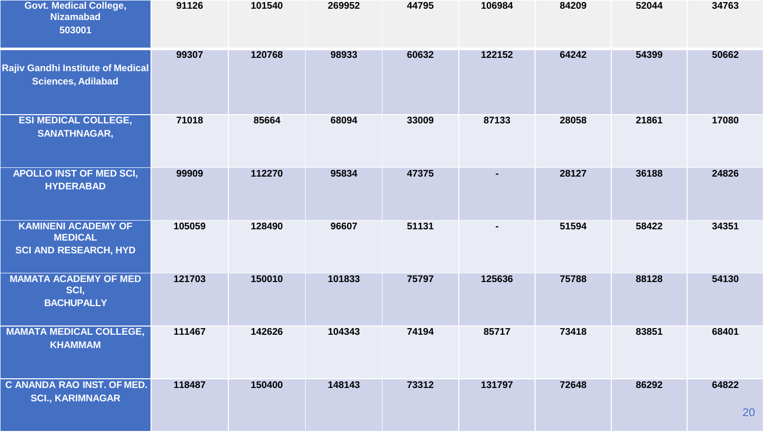| <b>Govt. Medical College,</b><br><b>Nizamabad</b><br>503001                  | 91126  | 101540 | 269952 | 44795 | 106984         | 84209 | 52044 | 34763       |
|------------------------------------------------------------------------------|--------|--------|--------|-------|----------------|-------|-------|-------------|
| Rajiv Gandhi Institute of Medical<br><b>Sciences, Adilabad</b>               | 99307  | 120768 | 98933  | 60632 | 122152         | 64242 | 54399 | 50662       |
| <b>ESI MEDICAL COLLEGE,</b><br><b>SANATHNAGAR,</b>                           | 71018  | 85664  | 68094  | 33009 | 87133          | 28058 | 21861 | 17080       |
| <b>APOLLO INST OF MED SCI,</b><br><b>HYDERABAD</b>                           | 99909  | 112270 | 95834  | 47375 | $\blacksquare$ | 28127 | 36188 | 24826       |
| <b>KAMINENI ACADEMY OF</b><br><b>MEDICAL</b><br><b>SCI AND RESEARCH, HYD</b> | 105059 | 128490 | 96607  | 51131 | $\blacksquare$ | 51594 | 58422 | 34351       |
| <b>MAMATA ACADEMY OF MED</b><br>SCI,<br><b>BACHUPALLY</b>                    | 121703 | 150010 | 101833 | 75797 | 125636         | 75788 | 88128 | 54130       |
| <b>MAMATA MEDICAL COLLEGE,</b><br><b>KHAMMAM</b>                             | 111467 | 142626 | 104343 | 74194 | 85717          | 73418 | 83851 | 68401       |
| C ANANDA RAO INST. OF MED.<br><b>SCI., KARIMNAGAR</b>                        | 118487 | 150400 | 148143 | 73312 | 131797         | 72648 | 86292 | 64822<br>20 |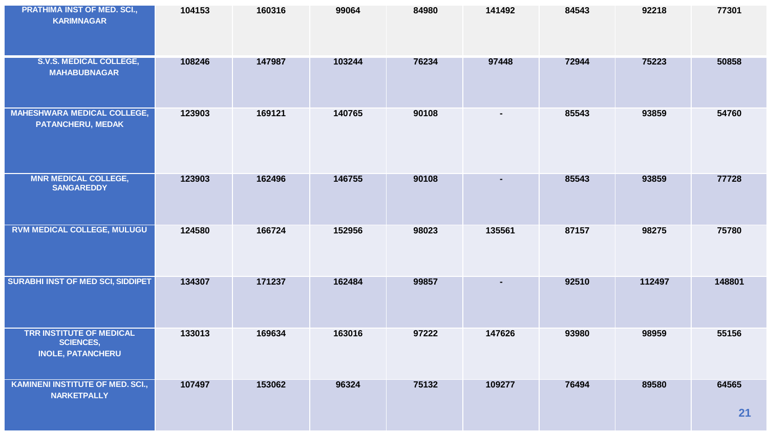| PRATHIMA INST OF MED. SCI.,<br><b>KARIMNAGAR</b>                                | 104153 | 160316 | 99064  | 84980 | 141492         | 84543 | 92218  | 77301       |
|---------------------------------------------------------------------------------|--------|--------|--------|-------|----------------|-------|--------|-------------|
| <b>S.V.S. MEDICAL COLLEGE,</b><br><b>MAHABUBNAGAR</b>                           | 108246 | 147987 | 103244 | 76234 | 97448          | 72944 | 75223  | 50858       |
| <b>MAHESHWARA MEDICAL COLLEGE,</b><br>PATANCHERU, MEDAK                         | 123903 | 169121 | 140765 | 90108 | $\blacksquare$ | 85543 | 93859  | 54760       |
| <b>MNR MEDICAL COLLEGE,</b><br><b>SANGAREDDY</b>                                | 123903 | 162496 | 146755 | 90108 | $\sim$         | 85543 | 93859  | 77728       |
| <b>RVM MEDICAL COLLEGE, MULUGU</b>                                              | 124580 | 166724 | 152956 | 98023 | 135561         | 87157 | 98275  | 75780       |
| SURABHI INST OF MED SCI, SIDDIPET                                               | 134307 | 171237 | 162484 | 99857 | $\blacksquare$ | 92510 | 112497 | 148801      |
| <b>TRR INSTITUTE OF MEDICAL</b><br><b>SCIENCES,</b><br><b>INOLE, PATANCHERU</b> | 133013 | 169634 | 163016 | 97222 | 147626         | 93980 | 98959  | 55156       |
| <b>KAMINENI INSTITUTE OF MED. SCI.,</b><br><b>NARKETPALLY</b>                   | 107497 | 153062 | 96324  | 75132 | 109277         | 76494 | 89580  | 64565<br>21 |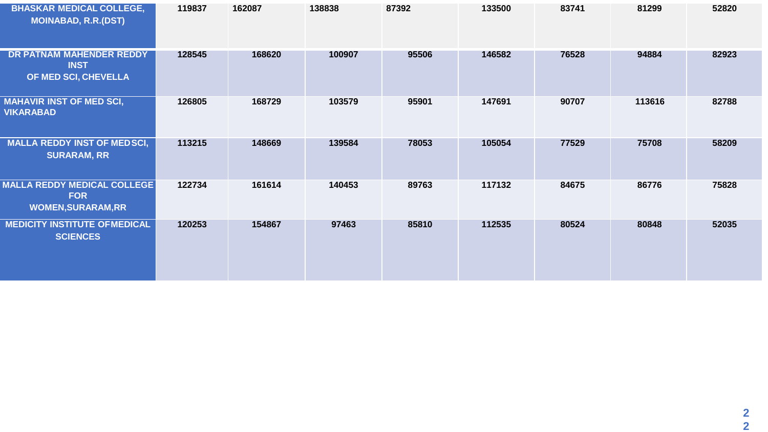| <b>BHASKAR MEDICAL COLLEGE,</b><br><b>MOINABAD, R.R.(DST)</b>                 | 119837 | 162087 | 138838 | 87392 | 133500 | 83741 | 81299  | 52820 |
|-------------------------------------------------------------------------------|--------|--------|--------|-------|--------|-------|--------|-------|
| DR PATNAM MAHENDER REDDY<br><b>INST</b><br>OF MED SCI, CHEVELLA               | 128545 | 168620 | 100907 | 95506 | 146582 | 76528 | 94884  | 82923 |
| <b>MAHAVIR INST OF MED SCI,</b><br><b>VIKARABAD</b>                           | 126805 | 168729 | 103579 | 95901 | 147691 | 90707 | 113616 | 82788 |
| <b>MALLA REDDY INST OF MEDSCI,</b><br><b>SURARAM, RR</b>                      | 113215 | 148669 | 139584 | 78053 | 105054 | 77529 | 75708  | 58209 |
| <b>MALLA REDDY MEDICAL COLLEGE</b><br><b>FOR</b><br><b>WOMEN, SURARAM, RR</b> | 122734 | 161614 | 140453 | 89763 | 117132 | 84675 | 86776  | 75828 |
| <b>MEDICITY INSTITUTE OFMEDICAL</b><br><b>SCIENCES</b>                        | 120253 | 154867 | 97463  | 85810 | 112535 | 80524 | 80848  | 52035 |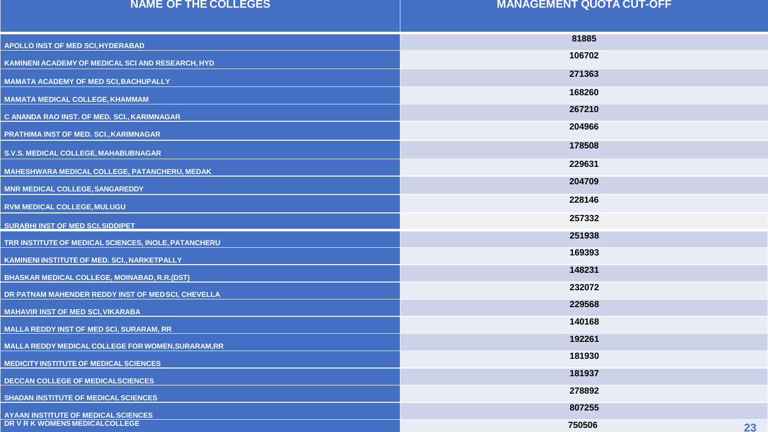| <b>NAME OF THE COLLEGES</b>                          | <b>MANAGEMENT QUOTA CUT-OFF</b> |
|------------------------------------------------------|---------------------------------|
|                                                      |                                 |
| <b>APOLLO INST OF MED SCI, HYDERABAD</b>             | 81885                           |
| KAMINENI ACADEMY OF MEDICAL SCI AND RESEARCH, HYD    | 106702                          |
| <b>MAMATA ACADEMY OF MED SCI, BACHUPALLY</b>         | 271363                          |
| <b>MAMATA MEDICAL COLLEGE, KHAMMAM</b>               | 168260                          |
| C ANANDA RAO INST. OF MED. SCI., KARIMNAGAR          | 267210                          |
| PRATHIMA INST OF MED. SCI., KARIMNAGAR               | 204966                          |
| S.V.S. MEDICAL COLLEGE, MAHABUBNAGAR                 | 178508                          |
| MAHESHWARA MEDICAL COLLEGE, PATANCHERU, MEDAK        | 229631                          |
| <b>MNR MEDICAL COLLEGE, SANGAREDDY</b>               | 204709                          |
| <b>RVM MEDICAL COLLEGE, MULUGU</b>                   | 228146                          |
| <b>SURABHI INST OF MED SCI, SIDDIPET</b>             | 257332                          |
| TRR INSTITUTE OF MEDICAL SCIENCES, INOLE, PATANCHERU | 251938                          |
| KAMINENI INSTITUTE OF MED. SCI., NARKETPALLY         | 169393                          |
| <b>BHASKAR MEDICAL COLLEGE, MOINABAD, R.R.(DST)</b>  | 148231                          |
| DR PATNAM MAHENDER REDDY INST OF MED SCI, CHEVELLA   | 232072                          |
| <b>MAHAVIR INST OF MED SCI, VIKARABA</b>             | 229568                          |
| <b>MALLA REDDY INST OF MED SCI, SURARAM, RR</b>      | 140168                          |
| MALLA REDDY MEDICAL COLLEGE FOR WOMEN, SURARAM, RR   | 192261                          |
| <b>MEDICITY INSTITUTE OF MEDICAL SCIENCES</b>        | 181930                          |
| <b>DECCAN COLLEGE OF MEDICALSCIENCES</b>             | 181937                          |
| <b>SHADAN INSTITUTE OF MEDICAL SCIENCES</b>          | 278892                          |
| <b>AYAAN INSTITUTE OF MEDICAL SCIENCES</b>           | 807255                          |
| DR V R K WOMENS MEDICALCOLLEGE                       | 750506<br>23                    |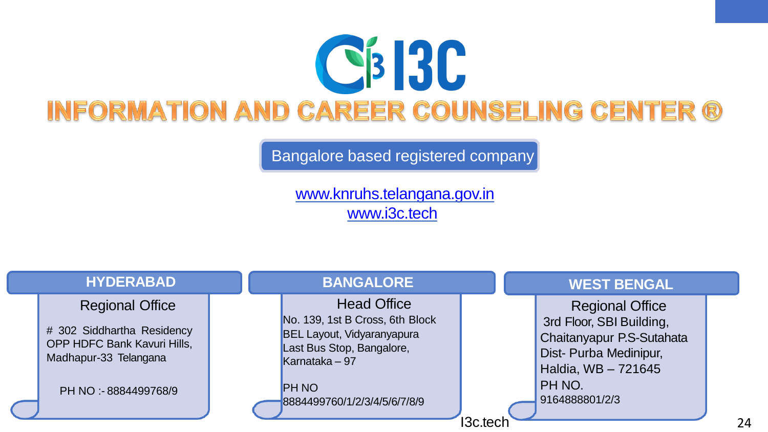

Bangalore based registered company

[www.knruhs.telangana.gov.in](http://www.knruhs.telangana.gov.in/)  [www.i3c.tech](http://www.i3c.tech/)

| <b>HYDERABAD</b>                                                                                                                             | <b>BANGALORE</b>                                                                                                                                                                           | <b>WEST BENGAL</b>                                                                                                                                           |
|----------------------------------------------------------------------------------------------------------------------------------------------|--------------------------------------------------------------------------------------------------------------------------------------------------------------------------------------------|--------------------------------------------------------------------------------------------------------------------------------------------------------------|
| <b>Regional Office</b><br># 302 Siddhartha Residency<br><b>OPP HDFC Bank Kavuri Hills,</b><br>Madhapur-33 Telangana<br>PH NO: - 8884499768/9 | <b>Head Office</b><br>No. 139, 1st B Cross, 6th Block<br><b>BEL Layout, Vidyaranyapura</b><br>Last Bus Stop, Bangalore,<br>Karnataka $-97$<br><b>PH NO</b><br>8884499760/1/2/3/4/5/6/7/8/9 | <b>Regional Office</b><br>3rd Floor, SBI Building,<br>Chaitanyapur P.S-Sutahata<br>Dist- Purba Medinipur,<br>Haldia, WB - 721645<br>PH NO.<br>9164888801/2/3 |
|                                                                                                                                              |                                                                                                                                                                                            | <b>13c.tech</b>                                                                                                                                              |